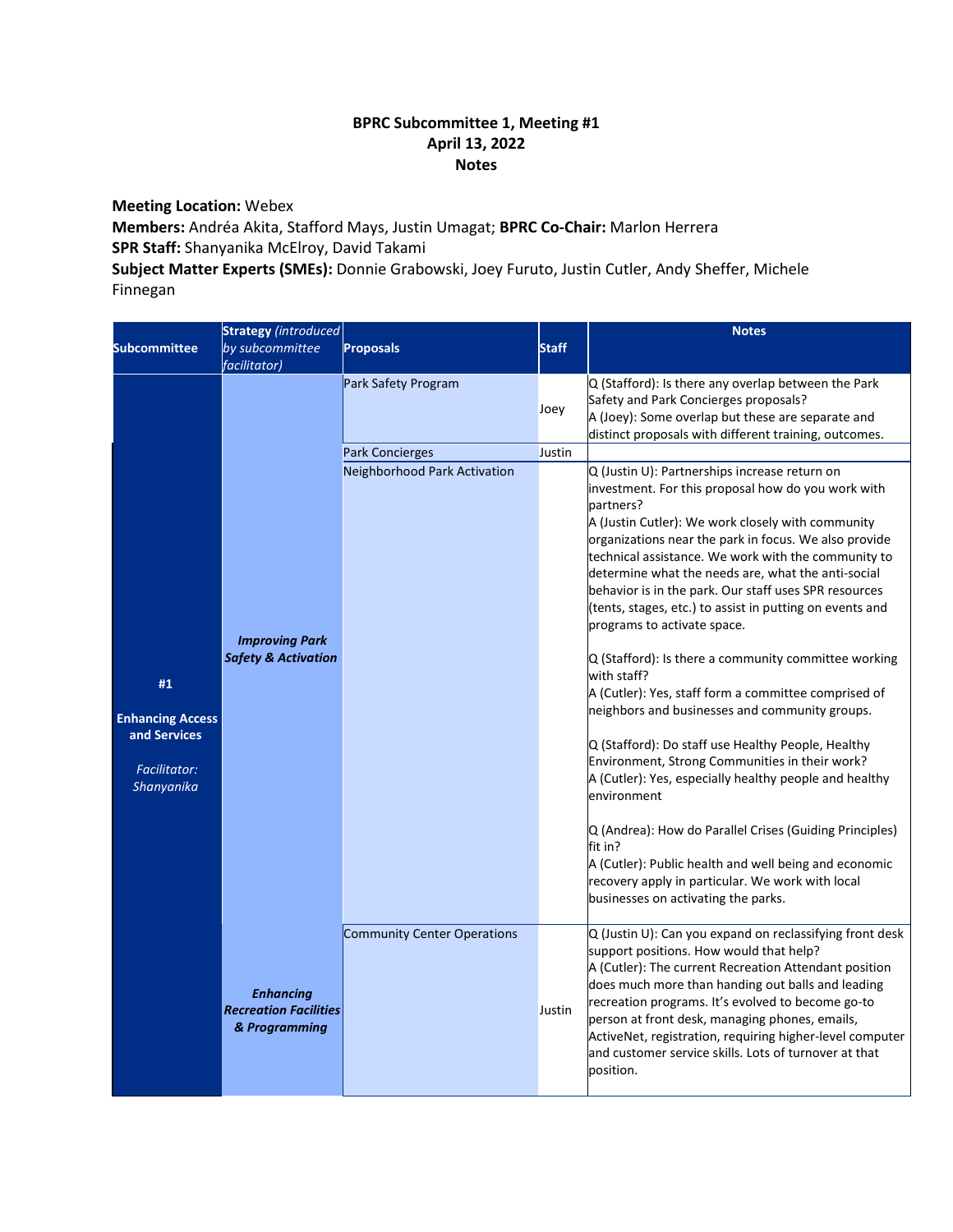## **BPRC Subcommittee 1, Meeting #1 April 13, 2022 Notes**

**Meeting Location:** Webex

**Members:** Andréa Akita, Stafford Mays, Justin Umagat; **BPRC Co-Chair:** Marlon Herrera **SPR Staff:** Shanyanika McElroy, David Takami

**Subject Matter Experts (SMEs):** Donnie Grabowski, Joey Furuto, Justin Cutler, Andy Sheffer, Michele Finnegan

| <b>Subcommittee</b>                                                                | <b>Strategy</b> (introduced<br>by subcommittee<br><i>facilitator</i> ) | <b>Proposals</b>                              | <b>Staff</b>   | <b>Notes</b>                                                                                                                                                                                                                                                                                                                                                                                                                                                                                                                                                                                                                                                                                                                                                                                                                                                                                                                                                                                                                                                                                |
|------------------------------------------------------------------------------------|------------------------------------------------------------------------|-----------------------------------------------|----------------|---------------------------------------------------------------------------------------------------------------------------------------------------------------------------------------------------------------------------------------------------------------------------------------------------------------------------------------------------------------------------------------------------------------------------------------------------------------------------------------------------------------------------------------------------------------------------------------------------------------------------------------------------------------------------------------------------------------------------------------------------------------------------------------------------------------------------------------------------------------------------------------------------------------------------------------------------------------------------------------------------------------------------------------------------------------------------------------------|
|                                                                                    |                                                                        | Park Safety Program<br><b>Park Concierges</b> | Joey<br>Justin | Q (Stafford): Is there any overlap between the Park<br>Safety and Park Concierges proposals?<br>A (Joey): Some overlap but these are separate and<br>distinct proposals with different training, outcomes.                                                                                                                                                                                                                                                                                                                                                                                                                                                                                                                                                                                                                                                                                                                                                                                                                                                                                  |
| #1<br><b>Enhancing Access</b><br>and Services<br><b>Facilitator:</b><br>Shanyanika | <b>Improving Park</b><br><b>Safety &amp; Activation</b>                | Neighborhood Park Activation                  |                | Q (Justin U): Partnerships increase return on<br>investment. For this proposal how do you work with<br>partners?<br>A (Justin Cutler): We work closely with community<br>organizations near the park in focus. We also provide<br>technical assistance. We work with the community to<br>determine what the needs are, what the anti-social<br>behavior is in the park. Our staff uses SPR resources<br>(tents, stages, etc.) to assist in putting on events and<br>programs to activate space.<br>Q (Stafford): Is there a community committee working<br>with staff?<br>A (Cutler): Yes, staff form a committee comprised of<br>neighbors and businesses and community groups.<br>Q (Stafford): Do staff use Healthy People, Healthy<br>Environment, Strong Communities in their work?<br>A (Cutler): Yes, especially healthy people and healthy<br>environment<br>Q (Andrea): How do Parallel Crises (Guiding Principles)<br>fit in?<br>A (Cutler): Public health and well being and economic<br>recovery apply in particular. We work with local<br>businesses on activating the parks. |
|                                                                                    | <b>Enhancing</b><br><b>Recreation Facilities</b><br>& Programming      | Community Center Operations                   | Justin         | Q (Justin U): Can you expand on reclassifying front desk<br>support positions. How would that help?<br>A (Cutler): The current Recreation Attendant position<br>does much more than handing out balls and leading<br>recreation programs. It's evolved to become go-to<br>person at front desk, managing phones, emails,<br>ActiveNet, registration, requiring higher-level computer<br>and customer service skills. Lots of turnover at that<br>position.                                                                                                                                                                                                                                                                                                                                                                                                                                                                                                                                                                                                                                  |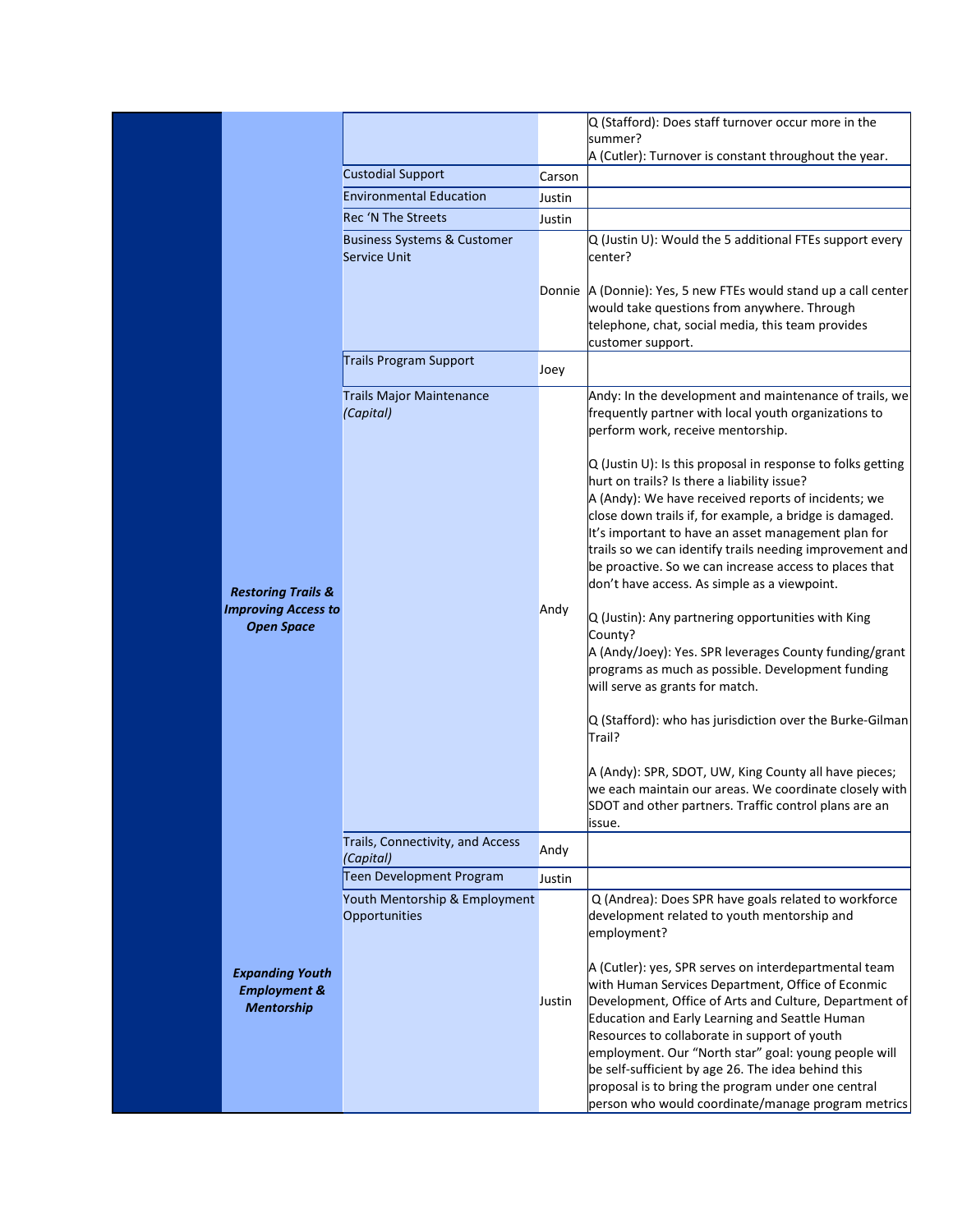|                                                                                  |                                                               |        | Q (Stafford): Does staff turnover occur more in the<br>summer?                                                                                                                                                                                                                                                                                                                                                                                                                                                                                                                                                                                                                                                                                       |
|----------------------------------------------------------------------------------|---------------------------------------------------------------|--------|------------------------------------------------------------------------------------------------------------------------------------------------------------------------------------------------------------------------------------------------------------------------------------------------------------------------------------------------------------------------------------------------------------------------------------------------------------------------------------------------------------------------------------------------------------------------------------------------------------------------------------------------------------------------------------------------------------------------------------------------------|
|                                                                                  |                                                               |        | A (Cutler): Turnover is constant throughout the year.                                                                                                                                                                                                                                                                                                                                                                                                                                                                                                                                                                                                                                                                                                |
|                                                                                  | <b>Custodial Support</b>                                      | Carson |                                                                                                                                                                                                                                                                                                                                                                                                                                                                                                                                                                                                                                                                                                                                                      |
|                                                                                  | <b>Environmental Education</b>                                | Justin |                                                                                                                                                                                                                                                                                                                                                                                                                                                                                                                                                                                                                                                                                                                                                      |
|                                                                                  | Rec 'N The Streets                                            | Justin |                                                                                                                                                                                                                                                                                                                                                                                                                                                                                                                                                                                                                                                                                                                                                      |
|                                                                                  | <b>Business Systems &amp; Customer</b><br><b>Service Unit</b> |        | Q (Justin U): Would the 5 additional FTEs support every<br>center?                                                                                                                                                                                                                                                                                                                                                                                                                                                                                                                                                                                                                                                                                   |
|                                                                                  |                                                               |        | Donnie A (Donnie): Yes, 5 new FTEs would stand up a call center<br>would take questions from anywhere. Through<br>telephone, chat, social media, this team provides<br>customer support.                                                                                                                                                                                                                                                                                                                                                                                                                                                                                                                                                             |
|                                                                                  | Trails Program Support                                        | Joey   |                                                                                                                                                                                                                                                                                                                                                                                                                                                                                                                                                                                                                                                                                                                                                      |
|                                                                                  | <b>Trails Major Maintenance</b><br>(Capital)                  |        | Andy: In the development and maintenance of trails, we<br>frequently partner with local youth organizations to<br>perform work, receive mentorship.                                                                                                                                                                                                                                                                                                                                                                                                                                                                                                                                                                                                  |
| <b>Restoring Trails &amp;</b><br><b>Improving Access to</b><br><b>Open Space</b> |                                                               | Andy   | $Q$ (Justin U): Is this proposal in response to folks getting<br>hurt on trails? Is there a liability issue?<br>A (Andy): We have received reports of incidents; we<br>close down trails if, for example, a bridge is damaged.<br>It's important to have an asset management plan for<br>trails so we can identify trails needing improvement and<br>be proactive. So we can increase access to places that<br>don't have access. As simple as a viewpoint.<br>Q (Justin): Any partnering opportunities with King<br>County?<br>A (Andy/Joey): Yes. SPR leverages County funding/grant<br>programs as much as possible. Development funding<br>will serve as grants for match.<br>Q (Stafford): who has jurisdiction over the Burke-Gilman<br>Trail? |
|                                                                                  |                                                               |        | A (Andy): SPR, SDOT, UW, King County all have pieces;<br>we each maintain our areas. We coordinate closely with<br>SDOT and other partners. Traffic control plans are an<br>issue.                                                                                                                                                                                                                                                                                                                                                                                                                                                                                                                                                                   |
|                                                                                  | Trails, Connectivity, and Access<br>(Capital)                 | Andy   |                                                                                                                                                                                                                                                                                                                                                                                                                                                                                                                                                                                                                                                                                                                                                      |
|                                                                                  | Teen Development Program                                      | Justin |                                                                                                                                                                                                                                                                                                                                                                                                                                                                                                                                                                                                                                                                                                                                                      |
|                                                                                  | Youth Mentorship & Employment                                 |        | Q (Andrea): Does SPR have goals related to workforce                                                                                                                                                                                                                                                                                                                                                                                                                                                                                                                                                                                                                                                                                                 |
|                                                                                  | Opportunities                                                 |        | development related to youth mentorship and<br>employment?                                                                                                                                                                                                                                                                                                                                                                                                                                                                                                                                                                                                                                                                                           |
| <b>Expanding Youth</b><br><b>Employment &amp;</b><br><b>Mentorship</b>           |                                                               | Justin | A (Cutler): yes, SPR serves on interdepartmental team<br>with Human Services Department, Office of Econmic<br>Development, Office of Arts and Culture, Department of<br>Education and Early Learning and Seattle Human<br>Resources to collaborate in support of youth<br>employment. Our "North star" goal: young people will<br>be self-sufficient by age 26. The idea behind this<br>proposal is to bring the program under one central                                                                                                                                                                                                                                                                                                           |
|                                                                                  |                                                               |        | person who would coordinate/manage program metrics                                                                                                                                                                                                                                                                                                                                                                                                                                                                                                                                                                                                                                                                                                   |